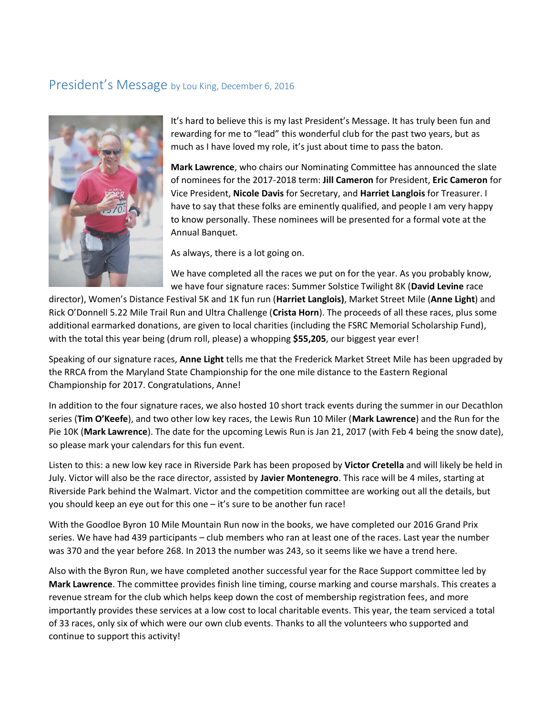## President's Message by Lou King, December 6, 2016



It's hard to believe this is my last President's Message. It has truly been fun and rewarding for me to "lead" this wonderful club for the past two years, but as much as I have loved my role, it's just about time to pass the baton.

**Mark Lawrence**, who chairs our Nominating Committee has announced the slate of nominees for the 2017-2018 term: **Jill Cameron** for President, **Eric Cameron** for Vice President, **Nicole Davis** for Secretary, and **Harriet Langlois** for Treasurer. I have to say that these folks are eminently qualified, and people I am very happy to know personally. These nominees will be presented for a formal vote at the Annual Banquet.

As always, there is a lot going on.

We have completed all the races we put on for the year. As you probably know, we have four signature races: Summer Solstice Twilight 8K (**David Levine** race

director), Women's Distance Festival 5K and 1K fun run (**Harriet Langlois)**, Market Street Mile (**Anne Light**) and Rick O'Donnell 5.22 Mile Trail Run and Ultra Challenge (**Crista Horn**). The proceeds of all these races, plus some additional earmarked donations, are given to local charities (including the FSRC Memorial Scholarship Fund), with the total this year being (drum roll, please) a whopping **\$55,205**, our biggest year ever!

Speaking of our signature races, **Anne Light** tells me that the Frederick Market Street Mile has been upgraded by the RRCA from the Maryland State Championship for the one mile distance to the Eastern Regional Championship for 2017. Congratulations, Anne!

In addition to the four signature races, we also hosted 10 short track events during the summer in our Decathlon series (**Tim O'Keefe**), and two other low key races, the Lewis Run 10 Miler (**Mark Lawrence**) and the Run for the Pie 10K (**Mark Lawrence**). The date for the upcoming Lewis Run is Jan 21, 2017 (with Feb 4 being the snow date), so please mark your calendars for this fun event.

Listen to this: a new low key race in Riverside Park has been proposed by **Victor Cretella** and will likely be held in July. Victor will also be the race director, assisted by **Javier Montenegro**. This race will be 4 miles, starting at Riverside Park behind the Walmart. Victor and the competition committee are working out all the details, but you should keep an eye out for this one – it's sure to be another fun race!

With the Goodloe Byron 10 Mile Mountain Run now in the books, we have completed our 2016 Grand Prix series. We have had 439 participants – club members who ran at least one of the races. Last year the number was 370 and the year before 268. In 2013 the number was 243, so it seems like we have a trend here.

Also with the Byron Run, we have completed another successful year for the Race Support committee led by **Mark Lawrence**. The committee provides finish line timing, course marking and course marshals. This creates a revenue stream for the club which helps keep down the cost of membership registration fees, and more importantly provides these services at a low cost to local charitable events. This year, the team serviced a total of 33 races, only six of which were our own club events. Thanks to all the volunteers who supported and continue to support this activity!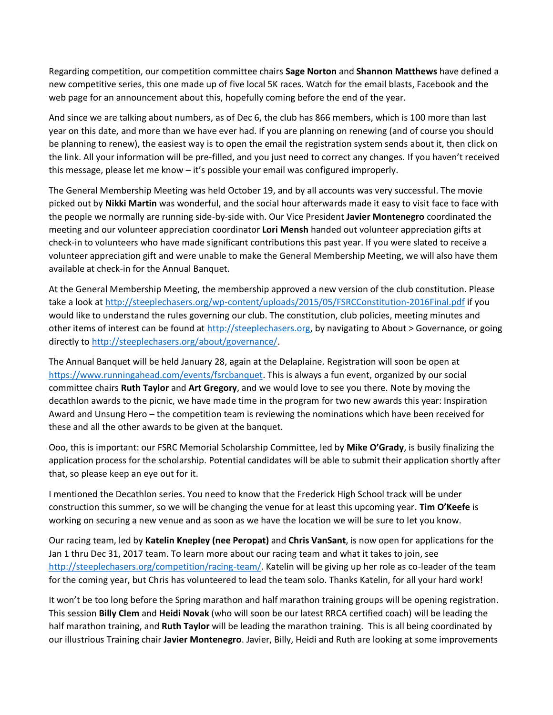Regarding competition, our competition committee chairs **Sage Norton** and **Shannon Matthews** have defined a new competitive series, this one made up of five local 5K races. Watch for the email blasts, Facebook and the web page for an announcement about this, hopefully coming before the end of the year.

And since we are talking about numbers, as of Dec 6, the club has 866 members, which is 100 more than last year on this date, and more than we have ever had. If you are planning on renewing (and of course you should be planning to renew), the easiest way is to open the email the registration system sends about it, then click on the link. All your information will be pre-filled, and you just need to correct any changes. If you haven't received this message, please let me know – it's possible your email was configured improperly.

The General Membership Meeting was held October 19, and by all accounts was very successful. The movie picked out by **Nikki Martin** was wonderful, and the social hour afterwards made it easy to visit face to face with the people we normally are running side-by-side with. Our Vice President **Javier Montenegro** coordinated the meeting and our volunteer appreciation coordinator **Lori Mensh** handed out volunteer appreciation gifts at check-in to volunteers who have made significant contributions this past year. If you were slated to receive a volunteer appreciation gift and were unable to make the General Membership Meeting, we will also have them available at check-in for the Annual Banquet.

At the General Membership Meeting, the membership approved a new version of the club constitution. Please take a look a[t http://steeplechasers.org/wp-content/uploads/2015/05/FSRCConstitution-2016Final.pdf](http://steeplechasers.org/wp-content/uploads/2015/05/FSRCConstitution-2016Final.pdf) if you would like to understand the rules governing our club. The constitution, club policies, meeting minutes and other items of interest can be found at [http://steeplechasers.org,](http://steeplechasers.org/) by navigating to About > Governance, or going directly to [http://steeplechasers.org/about/governance/.](http://steeplechasers.org/about/governance/)

The Annual Banquet will be held January 28, again at the Delaplaine. Registration will soon be open at [https://www.runningahead.com/events/fsrcbanquet.](https://www.runningahead.com/events/fsrcbanquet) This is always a fun event, organized by our social committee chairs **Ruth Taylor** and **Art Gregory**, and we would love to see you there. Note by moving the decathlon awards to the picnic, we have made time in the program for two new awards this year: Inspiration Award and Unsung Hero – the competition team is reviewing the nominations which have been received for these and all the other awards to be given at the banquet.

Ooo, this is important: our FSRC Memorial Scholarship Committee, led by **Mike O'Grady**, is busily finalizing the application process for the scholarship. Potential candidates will be able to submit their application shortly after that, so please keep an eye out for it.

I mentioned the Decathlon series. You need to know that the Frederick High School track will be under construction this summer, so we will be changing the venue for at least this upcoming year. **Tim O'Keefe** is working on securing a new venue and as soon as we have the location we will be sure to let you know.

Our racing team, led by **Katelin Knepley (nee Peropat)** and **Chris VanSant**, is now open for applications for the Jan 1 thru Dec 31, 2017 team. To learn more about our racing team and what it takes to join, see [http://steeplechasers.org/competition/racing-team/.](http://steeplechasers.org/competition/racing-team/) Katelin will be giving up her role as co-leader of the team for the coming year, but Chris has volunteered to lead the team solo. Thanks Katelin, for all your hard work!

It won't be too long before the Spring marathon and half marathon training groups will be opening registration. This session **Billy Clem** and **Heidi Novak** (who will soon be our latest RRCA certified coach) will be leading the half marathon training, and **Ruth Taylor** will be leading the marathon training. This is all being coordinated by our illustrious Training chair **Javier Montenegro**. Javier, Billy, Heidi and Ruth are looking at some improvements